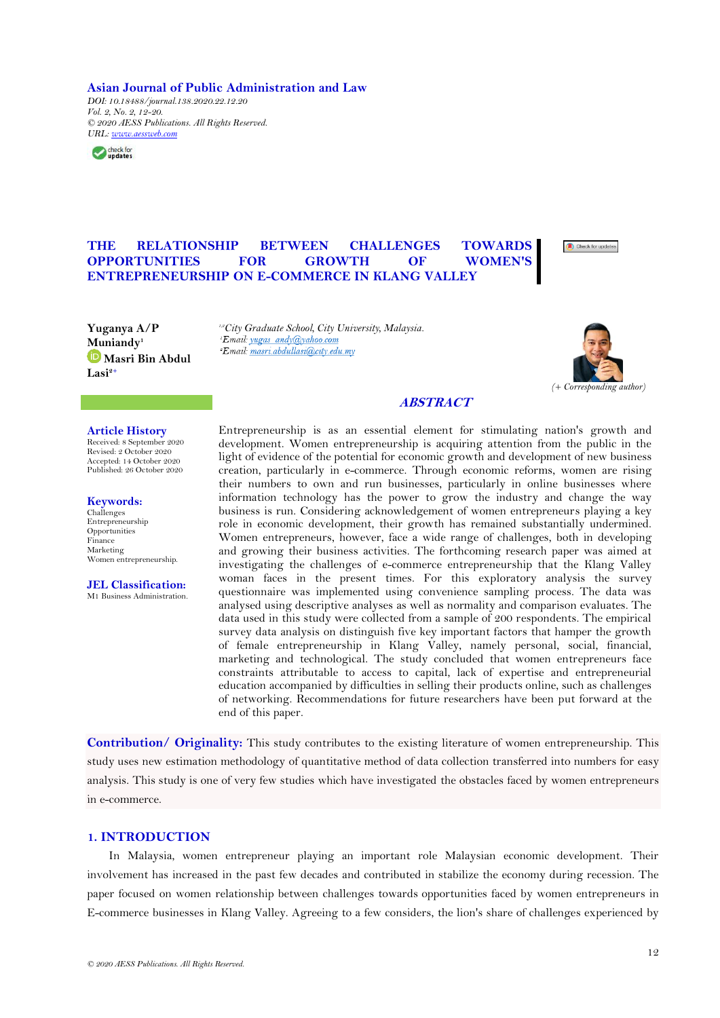**Asian Journal of Public Administration and Law**

*DOI: 10.18488/journal.138.2020.22.12.20 Vol. 2, No. 2, 12-20. © 2020 AESS Publications. All Rights Reserved. [URL:](https://archive.aessweb.com/index.php/5053/article/view/414) [www.aessweb.com](http://www.aessweb.com/)*



# **THE RELATIONSHIP BETWEEN CHALLENGES TOWARDS OPPORTUNITIES FOR GROWTH OF WOMEN'S ENTREPRENEURSHIP ON E-COMMERCE IN KLANG VALLEY**



**Yuganya A/P Muniandy<sup>1</sup> [M](https://orcid.org/0000-0003-3285-189X)asri Bin Abdul Lasi2+**

*1,2City Graduate School, City University, Malaysia. Email:* masri.abdullasi@city.edu.my



# **ABSTRACT**

## **Article History**

Received: 8 September 2020 Revised: 2 October 2020 Accepted: 14 October 2020 Published: 26 October 2020

**Keywords:** Challenges Entrepreneurship Opportunities Finance Marketing Women entrepreneurship.

**JEL Classification:** M1 Business Administration. Entrepreneurship is as an essential element for stimulating nation's growth and development. Women entrepreneurship is acquiring attention from the public in the light of evidence of the potential for economic growth and development of new business creation, particularly in e-commerce. Through economic reforms, women are rising their numbers to own and run businesses, particularly in online businesses where information technology has the power to grow the industry and change the way business is run. Considering acknowledgement of women entrepreneurs playing a key role in economic development, their growth has remained substantially undermined. Women entrepreneurs, however, face a wide range of challenges, both in developing and growing their business activities. The forthcoming research paper was aimed at investigating the challenges of e-commerce entrepreneurship that the Klang Valley woman faces in the present times. For this exploratory analysis the survey questionnaire was implemented using convenience sampling process. The data was analysed using descriptive analyses as well as normality and comparison evaluates. The data used in this study were collected from a sample of 200 respondents. The empirical survey data analysis on distinguish five key important factors that hamper the growth of female entrepreneurship in Klang Valley, namely personal, social, financial, marketing and technological. The study concluded that women entrepreneurs face constraints attributable to access to capital, lack of expertise and entrepreneurial education accompanied by difficulties in selling their products online, such as challenges of networking. Recommendations for future researchers have been put forward at the end of this paper.

**Contribution/ Originality:** This study contributes to the existing literature of women entrepreneurship. This study uses new estimation methodology of quantitative method of data collection transferred into numbers for easy analysis. This study is one of very few studies which have investigated the obstacles faced by women entrepreneurs in e-commerce.

## **1. INTRODUCTION**

In Malaysia, women entrepreneur playing an important role Malaysian economic development. Their involvement has increased in the past few decades and contributed in stabilize the economy during recession. The paper focused on women relationship between challenges towards opportunities faced by women entrepreneurs in E-commerce businesses in Klang Valley. Agreeing to a few considers, the lion's share of challenges experienced by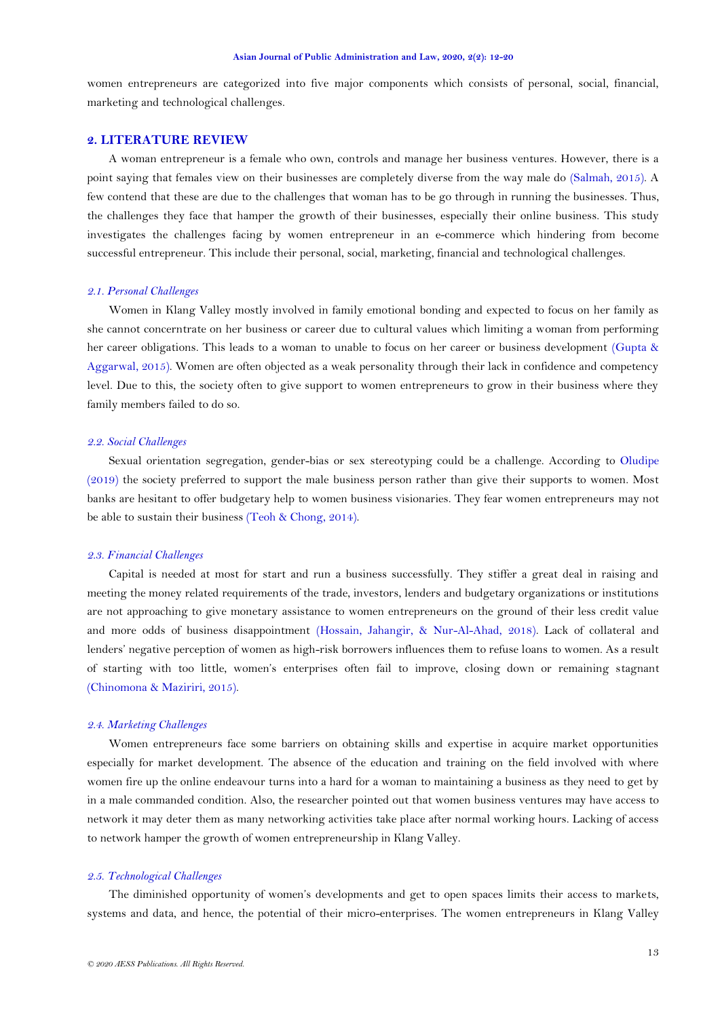women entrepreneurs are categorized into five major components which consists of personal, social, financial, marketing and technological challenges.

# **2. LITERATURE REVIEW**

A woman entrepreneur is a female who own, controls and manage her business ventures. However, there is a point saying that females view on their businesses are completely diverse from the way male do [\(Salmah, 2015\)](#page-8-0). A few contend that these are due to the challenges that woman has to be go through in running the businesses. Thus, the challenges they face that hamper the growth of their businesses, especially their online business. This study investigates the challenges facing by women entrepreneur in an e-commerce which hindering from become successful entrepreneur. This include their personal, social, marketing, financial and technological challenges.

#### *2.1. Personal Challenges*

Women in Klang Valley mostly involved in family emotional bonding and expected to focus on her family as she cannot concerntrate on her business or career due to cultural values which limiting a woman from performing her career obligations. This leads to a woman to unable to focus on her career or business development [\(Gupta &](#page-8-1)  [Aggarwal, 2015\)](#page-8-1). Women are often objected as a weak personality through their lack in confidence and competency level. Due to this, the society often to give support to women entrepreneurs to grow in their business where they family members failed to do so.

## *2.2. Social Challenges*

Sexual orientation segregation, gender-bias or sex stereotyping could be a challenge. According to [Oludipe](#page-8-2) [\(2019\)](#page-8-2) the society preferred to support the male business person rather than give their supports to women. Most banks are hesitant to offer budgetary help to women business visionaries. They fear women entrepreneurs may not be able to sustain their business [\(Teoh & Chong, 2014\)](#page-8-3).

#### *2.3. Financial Challenges*

Capital is needed at most for start and run a business successfully. They stiffer a great deal in raising and meeting the money related requirements of the trade, investors, lenders and budgetary organizations or institutions are not approaching to give monetary assistance to women entrepreneurs on the ground of their less credit value and more odds of business disappointment [\(Hossain, Jahangir, & Nur-Al-Ahad, 2018\)](#page-8-4). Lack of collateral and lenders' negative perception of women as high-risk borrowers influences them to refuse loans to women. As a result of starting with too little, women's enterprises often fail to improve, closing down or remaining stagnant [\(Chinomona & Maziriri, 2015\)](#page-8-5).

### *2.4. Marketing Challenges*

Women entrepreneurs face some barriers on obtaining skills and expertise in acquire market opportunities especially for market development. The absence of the education and training on the field involved with where women fire up the online endeavour turns into a hard for a woman to maintaining a business as they need to get by in a male commanded condition. Also, the researcher pointed out that women business ventures may have access to network it may deter them as many networking activities take place after normal working hours. Lacking of access to network hamper the growth of women entrepreneurship in Klang Valley.

## *2.5. Technological Challenges*

The diminished opportunity of women's developments and get to open spaces limits their access to markets, systems and data, and hence, the potential of their micro-enterprises. The women entrepreneurs in Klang Valley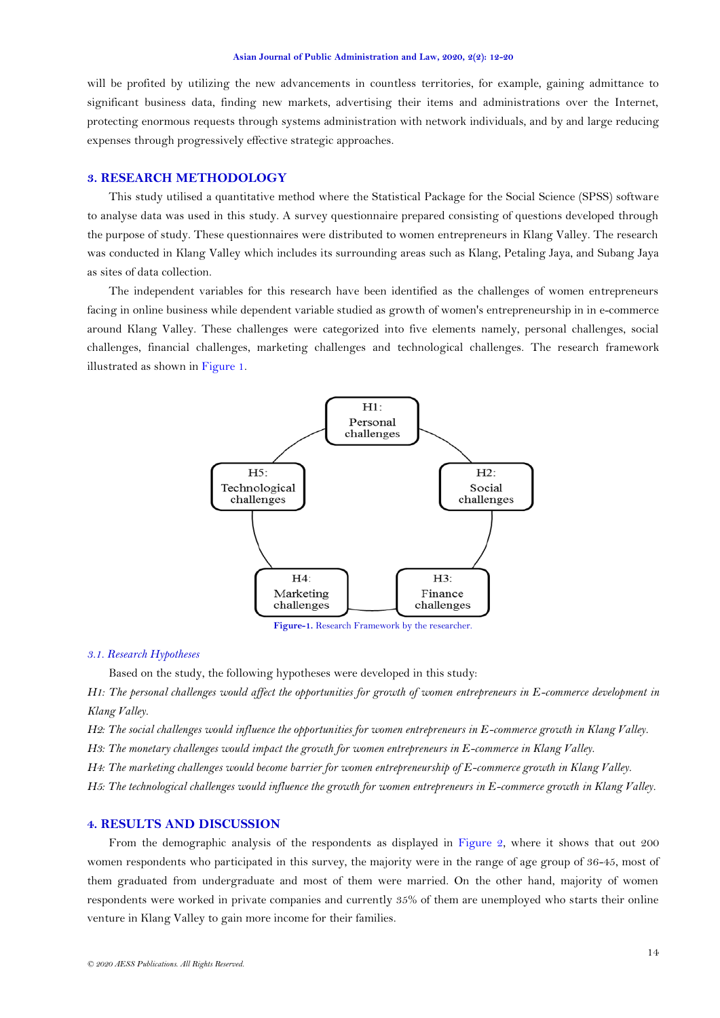will be profited by utilizing the new advancements in countless territories, for example, gaining admittance to significant business data, finding new markets, advertising their items and administrations over the Internet, protecting enormous requests through systems administration with network individuals, and by and large reducing expenses through progressively effective strategic approaches.

# **3. RESEARCH METHODOLOGY**

This study utilised a quantitative method where the Statistical Package for the Social Science (SPSS) software to analyse data was used in this study. A survey questionnaire prepared consisting of questions developed through the purpose of study. These questionnaires were distributed to women entrepreneurs in Klang Valley. The research was conducted in Klang Valley which includes its surrounding areas such as Klang, Petaling Jaya, and Subang Jaya as sites of data collection.

The independent variables for this research have been identified as the challenges of women entrepreneurs facing in online business while dependent variable studied as growth of women's entrepreneurship in in e-commerce around Klang Valley. These challenges were categorized into five elements namely, personal challenges, social challenges, financial challenges, marketing challenges and technological challenges. The research framework illustrated as shown i[n Figure 1.](#page-2-0)



**Figure-1.** Research Framework by the researcher.

## <span id="page-2-0"></span>*3.1. Research Hypotheses*

Based on the study, the following hypotheses were developed in this study:

*H1: The personal challenges would affect the opportunities for growth of women entrepreneurs in E-commerce development in Klang Valley.*

*H2: The social challenges would influence the opportunities for women entrepreneurs in E-commerce growth in Klang Valley. H3: The monetary challenges would impact the growth for women entrepreneurs in E-commerce in Klang Valley.*

*H4: The marketing challenges would become barrier for women entrepreneurship of E-commerce growth in Klang Valley.*

*H5: The technological challenges would influence the growth for women entrepreneurs in E-commerce growth in Klang Valley.*

## **4. RESULTS AND DISCUSSION**

From the demographic analysis of the respondents as displayed in [Figure 2,](#page-3-0) where it shows that out 200 women respondents who participated in this survey, the majority were in the range of age group of 36-45, most of them graduated from undergraduate and most of them were married. On the other hand, majority of women respondents were worked in private companies and currently 35% of them are unemployed who starts their online venture in Klang Valley to gain more income for their families.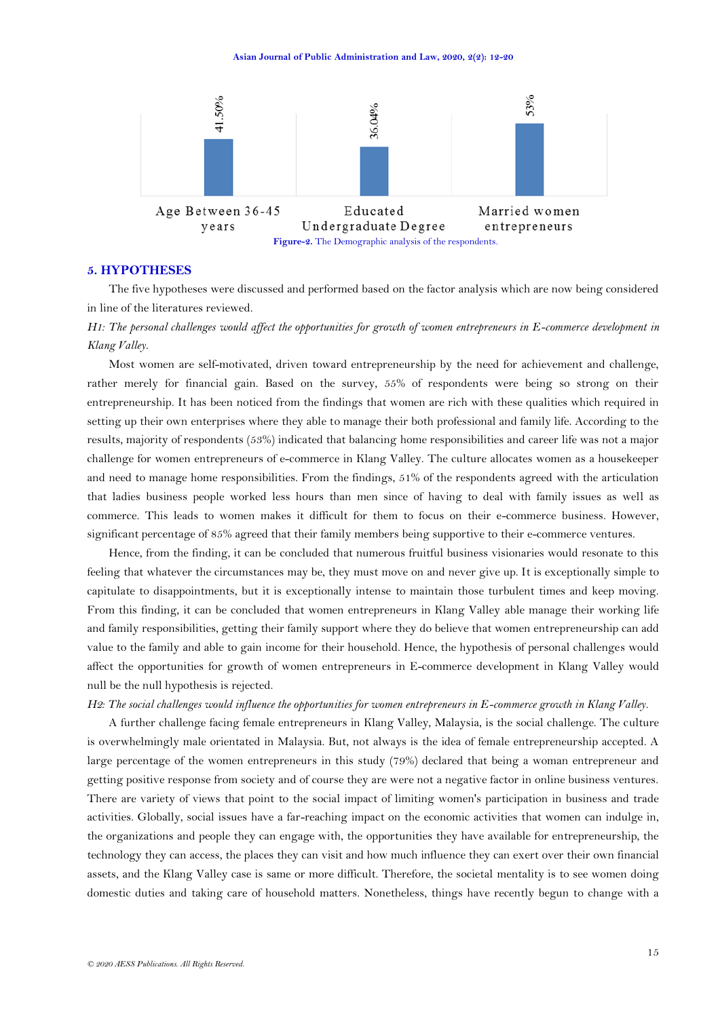

### <span id="page-3-0"></span>**5. HYPOTHESES**

The five hypotheses were discussed and performed based on the factor analysis which are now being considered in line of the literatures reviewed.

*H1: The personal challenges would affect the opportunities for growth of women entrepreneurs in E-commerce development in Klang Valley.*

Most women are self-motivated, driven toward entrepreneurship by the need for achievement and challenge, rather merely for financial gain. Based on the survey, 55% of respondents were being so strong on their entrepreneurship. It has been noticed from the findings that women are rich with these qualities which required in setting up their own enterprises where they able to manage their both professional and family life. According to the results, majority of respondents (53%) indicated that balancing home responsibilities and career life was not a major challenge for women entrepreneurs of e-commerce in Klang Valley. The culture allocates women as a housekeeper and need to manage home responsibilities. From the findings, 51% of the respondents agreed with the articulation that ladies business people worked less hours than men since of having to deal with family issues as well as commerce. This leads to women makes it difficult for them to focus on their e-commerce business. However, significant percentage of 85% agreed that their family members being supportive to their e-commerce ventures.

Hence, from the finding, it can be concluded that numerous fruitful business visionaries would resonate to this feeling that whatever the circumstances may be, they must move on and never give up. It is exceptionally simple to capitulate to disappointments, but it is exceptionally intense to maintain those turbulent times and keep moving. From this finding, it can be concluded that women entrepreneurs in Klang Valley able manage their working life and family responsibilities, getting their family support where they do believe that women entrepreneurship can add value to the family and able to gain income for their household. Hence, the hypothesis of personal challenges would affect the opportunities for growth of women entrepreneurs in E-commerce development in Klang Valley would null be the null hypothesis is rejected.

#### *H2: The social challenges would influence the opportunities for women entrepreneurs in E-commerce growth in Klang Valley.*

A further challenge facing female entrepreneurs in Klang Valley, Malaysia, is the social challenge. The culture is overwhelmingly male orientated in Malaysia. But, not always is the idea of female entrepreneurship accepted. A large percentage of the women entrepreneurs in this study (79%) declared that being a woman entrepreneur and getting positive response from society and of course they are were not a negative factor in online business ventures. There are variety of views that point to the social impact of limiting women's participation in business and trade activities. Globally, social issues have a far-reaching impact on the economic activities that women can indulge in, the organizations and people they can engage with, the opportunities they have available for entrepreneurship, the technology they can access, the places they can visit and how much influence they can exert over their own financial assets, and the Klang Valley case is same or more difficult. Therefore, the societal mentality is to see women doing domestic duties and taking care of household matters. Nonetheless, things have recently begun to change with a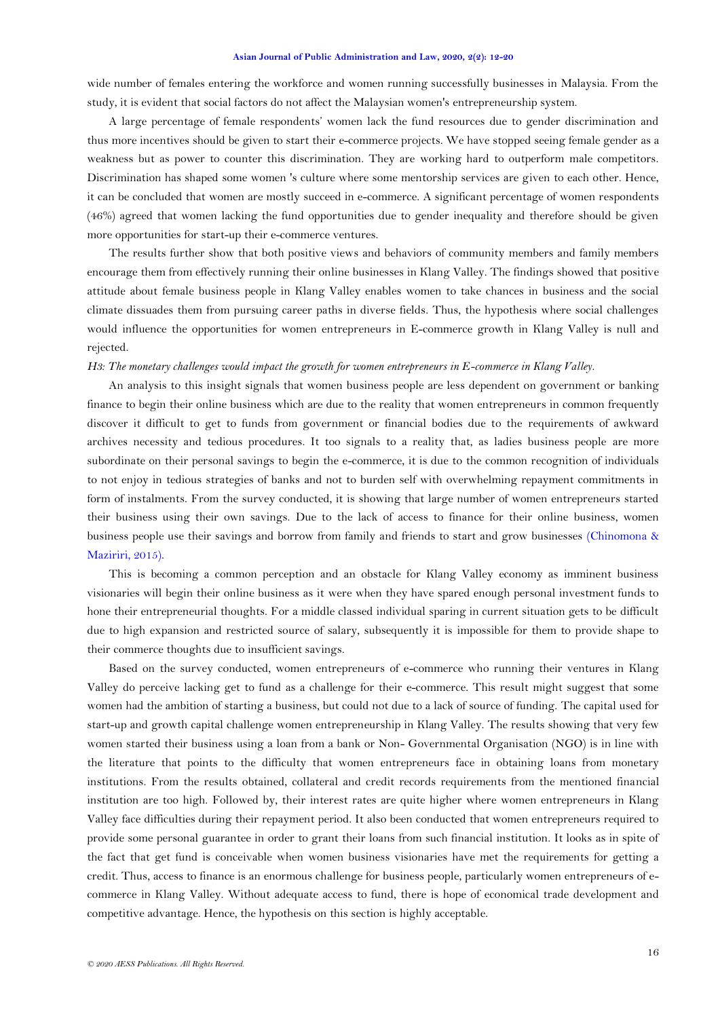wide number of females entering the workforce and women running successfully businesses in Malaysia. From the study, it is evident that social factors do not affect the Malaysian women's entrepreneurship system.

A large percentage of female respondents' women lack the fund resources due to gender discrimination and thus more incentives should be given to start their e-commerce projects. We have stopped seeing female gender as a weakness but as power to counter this discrimination. They are working hard to outperform male competitors. Discrimination has shaped some women 's culture where some mentorship services are given to each other. Hence, it can be concluded that women are mostly succeed in e-commerce. A significant percentage of women respondents (46%) agreed that women lacking the fund opportunities due to gender inequality and therefore should be given more opportunities for start-up their e-commerce ventures.

The results further show that both positive views and behaviors of community members and family members encourage them from effectively running their online businesses in Klang Valley. The findings showed that positive attitude about female business people in Klang Valley enables women to take chances in business and the social climate dissuades them from pursuing career paths in diverse fields. Thus, the hypothesis where social challenges would influence the opportunities for women entrepreneurs in E-commerce growth in Klang Valley is null and rejected.

## *H3: The monetary challenges would impact the growth for women entrepreneurs in E-commerce in Klang Valley.*

An analysis to this insight signals that women business people are less dependent on government or banking finance to begin their online business which are due to the reality that women entrepreneurs in common frequently discover it difficult to get to funds from government or financial bodies due to the requirements of awkward archives necessity and tedious procedures. It too signals to a reality that, as ladies business people are more subordinate on their personal savings to begin the e-commerce, it is due to the common recognition of individuals to not enjoy in tedious strategies of banks and not to burden self with overwhelming repayment commitments in form of instalments. From the survey conducted, it is showing that large number of women entrepreneurs started their business using their own savings. Due to the lack of access to finance for their online business, women business people use their savings and borrow from family and friends to start and grow businesses [\(Chinomona &](#page-8-5)  [Maziriri, 2015\)](#page-8-5).

This is becoming a common perception and an obstacle for Klang Valley economy as imminent business visionaries will begin their online business as it were when they have spared enough personal investment funds to hone their entrepreneurial thoughts. For a middle classed individual sparing in current situation gets to be difficult due to high expansion and restricted source of salary, subsequently it is impossible for them to provide shape to their commerce thoughts due to insufficient savings.

Based on the survey conducted, women entrepreneurs of e-commerce who running their ventures in Klang Valley do perceive lacking get to fund as a challenge for their e-commerce. This result might suggest that some women had the ambition of starting a business, but could not due to a lack of source of funding. The capital used for start-up and growth capital challenge women entrepreneurship in Klang Valley. The results showing that very few women started their business using a loan from a bank or Non- Governmental Organisation (NGO) is in line with the literature that points to the difficulty that women entrepreneurs face in obtaining loans from monetary institutions. From the results obtained, collateral and credit records requirements from the mentioned financial institution are too high. Followed by, their interest rates are quite higher where women entrepreneurs in Klang Valley face difficulties during their repayment period. It also been conducted that women entrepreneurs required to provide some personal guarantee in order to grant their loans from such financial institution. It looks as in spite of the fact that get fund is conceivable when women business visionaries have met the requirements for getting a credit. Thus, access to finance is an enormous challenge for business people, particularly women entrepreneurs of ecommerce in Klang Valley. Without adequate access to fund, there is hope of economical trade development and competitive advantage. Hence, the hypothesis on this section is highly acceptable.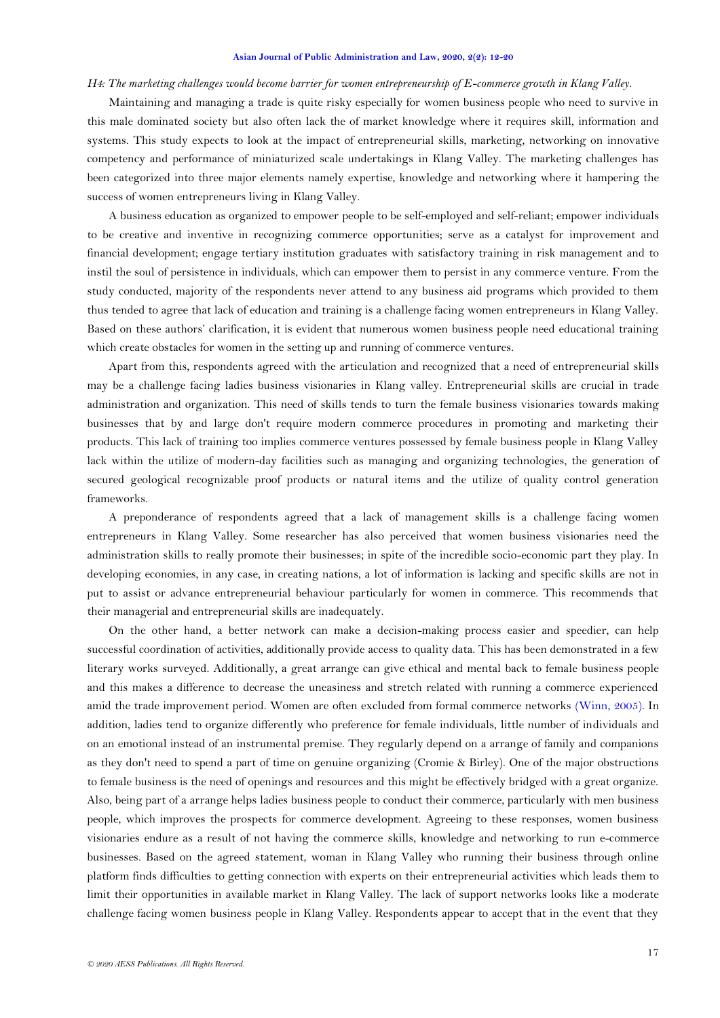#### *H4: The marketing challenges would become barrier for women entrepreneurship of E-commerce growth in Klang Valley.*

Maintaining and managing a trade is quite risky especially for women business people who need to survive in this male dominated society but also often lack the of market knowledge where it requires skill, information and systems. This study expects to look at the impact of entrepreneurial skills, marketing, networking on innovative competency and performance of miniaturized scale undertakings in Klang Valley. The marketing challenges has been categorized into three major elements namely expertise, knowledge and networking where it hampering the success of women entrepreneurs living in Klang Valley.

A business education as organized to empower people to be self-employed and self-reliant; empower individuals to be creative and inventive in recognizing commerce opportunities; serve as a catalyst for improvement and financial development; engage tertiary institution graduates with satisfactory training in risk management and to instil the soul of persistence in individuals, which can empower them to persist in any commerce venture. From the study conducted, majority of the respondents never attend to any business aid programs which provided to them thus tended to agree that lack of education and training is a challenge facing women entrepreneurs in Klang Valley. Based on these authors' clarification, it is evident that numerous women business people need educational training which create obstacles for women in the setting up and running of commerce ventures.

Apart from this, respondents agreed with the articulation and recognized that a need of entrepreneurial skills may be a challenge facing ladies business visionaries in Klang valley. Entrepreneurial skills are crucial in trade administration and organization. This need of skills tends to turn the female business visionaries towards making businesses that by and large don't require modern commerce procedures in promoting and marketing their products. This lack of training too implies commerce ventures possessed by female business people in Klang Valley lack within the utilize of modern-day facilities such as managing and organizing technologies, the generation of secured geological recognizable proof products or natural items and the utilize of quality control generation frameworks.

A preponderance of respondents agreed that a lack of management skills is a challenge facing women entrepreneurs in Klang Valley. Some researcher has also perceived that women business visionaries need the administration skills to really promote their businesses; in spite of the incredible socio-economic part they play. In developing economies, in any case, in creating nations, a lot of information is lacking and specific skills are not in put to assist or advance entrepreneurial behaviour particularly for women in commerce. This recommends that their managerial and entrepreneurial skills are inadequately.

On the other hand, a better network can make a decision-making process easier and speedier, can help successful coordination of activities, additionally provide access to quality data. This has been demonstrated in a few literary works surveyed. Additionally, a great arrange can give ethical and mental back to female business people and this makes a difference to decrease the uneasiness and stretch related with running a commerce experienced amid the trade improvement period. Women are often excluded from formal commerce networks [\(Winn, 2005\)](#page-8-6). In addition, ladies tend to organize differently who preference for female individuals, little number of individuals and on an emotional instead of an instrumental premise. They regularly depend on a arrange of family and companions as they don't need to spend a part of time on genuine organizing (Cromie & Birley). One of the major obstructions to female business is the need of openings and resources and this might be effectively bridged with a great organize. Also, being part of a arrange helps ladies business people to conduct their commerce, particularly with men business people, which improves the prospects for commerce development. Agreeing to these responses, women business visionaries endure as a result of not having the commerce skills, knowledge and networking to run e-commerce businesses. Based on the agreed statement, woman in Klang Valley who running their business through online platform finds difficulties to getting connection with experts on their entrepreneurial activities which leads them to limit their opportunities in available market in Klang Valley. The lack of support networks looks like a moderate challenge facing women business people in Klang Valley. Respondents appear to accept that in the event that they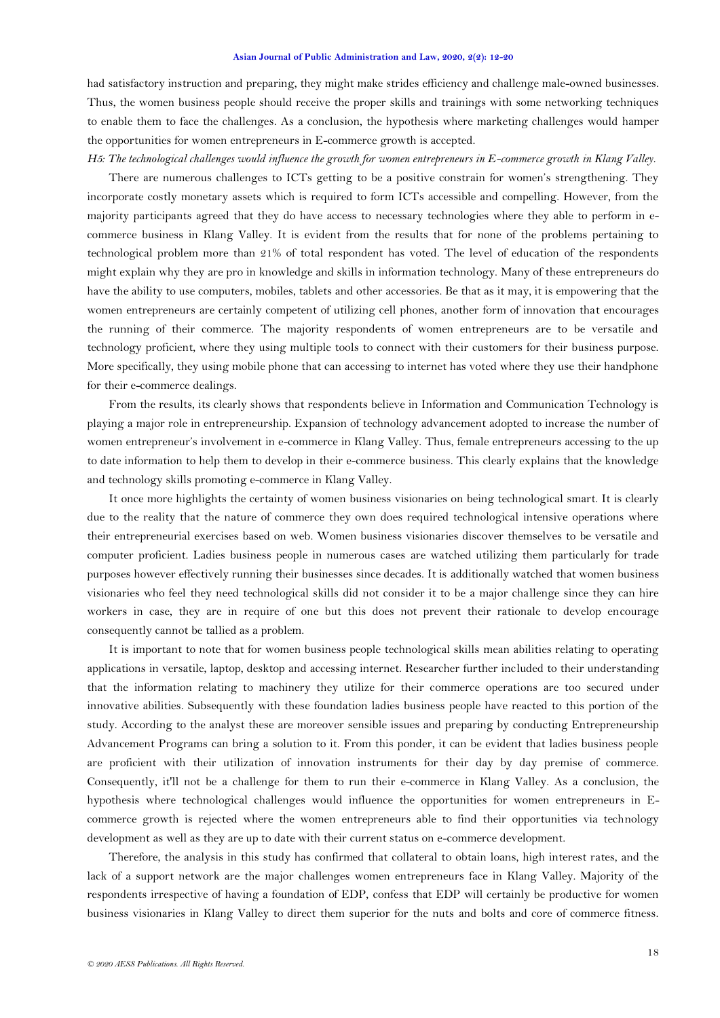had satisfactory instruction and preparing, they might make strides efficiency and challenge male-owned businesses. Thus, the women business people should receive the proper skills and trainings with some networking techniques to enable them to face the challenges. As a conclusion, the hypothesis where marketing challenges would hamper the opportunities for women entrepreneurs in E-commerce growth is accepted.

*H5: The technological challenges would influence the growth for women entrepreneurs in E-commerce growth in Klang Valley.* There are numerous challenges to ICTs getting to be a positive constrain for women's strengthening. They incorporate costly monetary assets which is required to form ICTs accessible and compelling. However, from the majority participants agreed that they do have access to necessary technologies where they able to perform in ecommerce business in Klang Valley. It is evident from the results that for none of the problems pertaining to technological problem more than 21% of total respondent has voted. The level of education of the respondents might explain why they are pro in knowledge and skills in information technology. Many of these entrepreneurs do have the ability to use computers, mobiles, tablets and other accessories. Be that as it may, it is empowering that the women entrepreneurs are certainly competent of utilizing cell phones, another form of innovation that encourages the running of their commerce. The majority respondents of women entrepreneurs are to be versatile and technology proficient, where they using multiple tools to connect with their customers for their business purpose. More specifically, they using mobile phone that can accessing to internet has voted where they use their handphone for their e-commerce dealings.

From the results, its clearly shows that respondents believe in Information and Communication Technology is playing a major role in entrepreneurship. Expansion of technology advancement adopted to increase the number of women entrepreneur's involvement in e-commerce in Klang Valley. Thus, female entrepreneurs accessing to the up to date information to help them to develop in their e-commerce business. This clearly explains that the knowledge and technology skills promoting e-commerce in Klang Valley.

It once more highlights the certainty of women business visionaries on being technological smart. It is clearly due to the reality that the nature of commerce they own does required technological intensive operations where their entrepreneurial exercises based on web. Women business visionaries discover themselves to be versatile and computer proficient. Ladies business people in numerous cases are watched utilizing them particularly for trade purposes however effectively running their businesses since decades. It is additionally watched that women business visionaries who feel they need technological skills did not consider it to be a major challenge since they can hire workers in case, they are in require of one but this does not prevent their rationale to develop encourage consequently cannot be tallied as a problem.

It is important to note that for women business people technological skills mean abilities relating to operating applications in versatile, laptop, desktop and accessing internet. Researcher further included to their understanding that the information relating to machinery they utilize for their commerce operations are too secured under innovative abilities. Subsequently with these foundation ladies business people have reacted to this portion of the study. According to the analyst these are moreover sensible issues and preparing by conducting Entrepreneurship Advancement Programs can bring a solution to it. From this ponder, it can be evident that ladies business people are proficient with their utilization of innovation instruments for their day by day premise of commerce. Consequently, it'll not be a challenge for them to run their e-commerce in Klang Valley. As a conclusion, the hypothesis where technological challenges would influence the opportunities for women entrepreneurs in Ecommerce growth is rejected where the women entrepreneurs able to find their opportunities via technology development as well as they are up to date with their current status on e-commerce development.

Therefore, the analysis in this study has confirmed that collateral to obtain loans, high interest rates, and the lack of a support network are the major challenges women entrepreneurs face in Klang Valley. Majority of the respondents irrespective of having a foundation of EDP, confess that EDP will certainly be productive for women business visionaries in Klang Valley to direct them superior for the nuts and bolts and core of commerce fitness.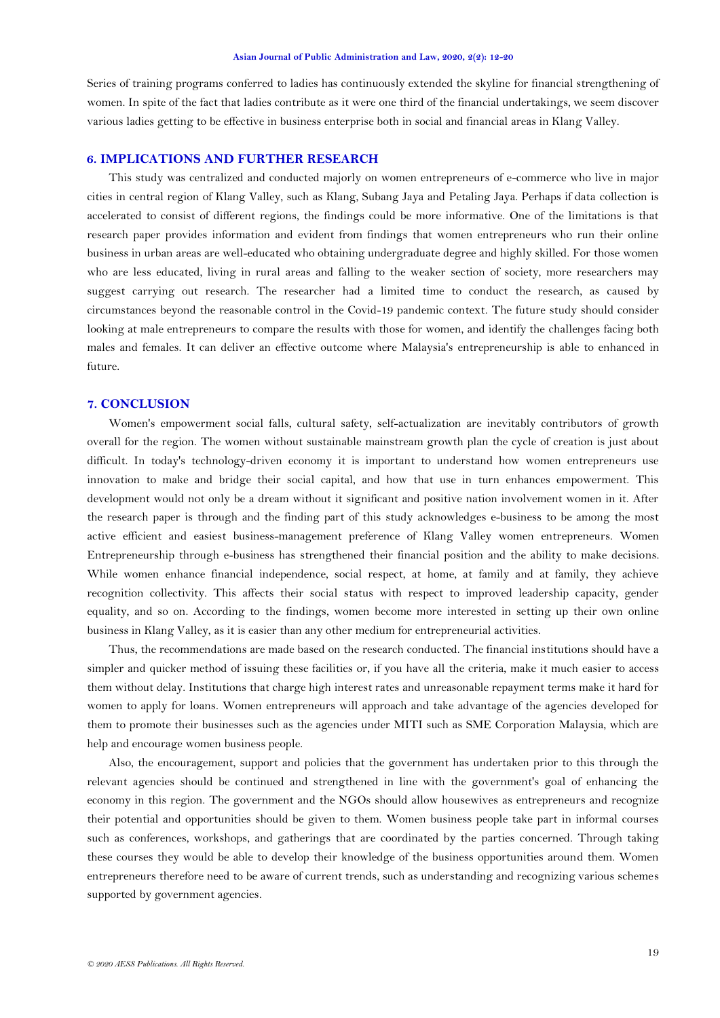Series of training programs conferred to ladies has continuously extended the skyline for financial strengthening of women. In spite of the fact that ladies contribute as it were one third of the financial undertakings, we seem discover various ladies getting to be effective in business enterprise both in social and financial areas in Klang Valley.

### **6. IMPLICATIONS AND FURTHER RESEARCH**

This study was centralized and conducted majorly on women entrepreneurs of e-commerce who live in major cities in central region of Klang Valley, such as Klang, Subang Jaya and Petaling Jaya. Perhaps if data collection is accelerated to consist of different regions, the findings could be more informative. One of the limitations is that research paper provides information and evident from findings that women entrepreneurs who run their online business in urban areas are well-educated who obtaining undergraduate degree and highly skilled. For those women who are less educated, living in rural areas and falling to the weaker section of society, more researchers may suggest carrying out research. The researcher had a limited time to conduct the research, as caused by circumstances beyond the reasonable control in the Covid-19 pandemic context. The future study should consider looking at male entrepreneurs to compare the results with those for women, and identify the challenges facing both males and females. It can deliver an effective outcome where Malaysia's entrepreneurship is able to enhanced in future.

## **7. CONCLUSION**

Women's empowerment social falls, cultural safety, self-actualization are inevitably contributors of growth overall for the region. The women without sustainable mainstream growth plan the cycle of creation is just about difficult. In today's technology-driven economy it is important to understand how women entrepreneurs use innovation to make and bridge their social capital, and how that use in turn enhances empowerment. This development would not only be a dream without it significant and positive nation involvement women in it. After the research paper is through and the finding part of this study acknowledges e-business to be among the most active efficient and easiest business-management preference of Klang Valley women entrepreneurs. Women Entrepreneurship through e-business has strengthened their financial position and the ability to make decisions. While women enhance financial independence, social respect, at home, at family and at family, they achieve recognition collectivity. This affects their social status with respect to improved leadership capacity, gender equality, and so on. According to the findings, women become more interested in setting up their own online business in Klang Valley, as it is easier than any other medium for entrepreneurial activities.

Thus, the recommendations are made based on the research conducted. The financial institutions should have a simpler and quicker method of issuing these facilities or, if you have all the criteria, make it much easier to access them without delay. Institutions that charge high interest rates and unreasonable repayment terms make it hard for women to apply for loans. Women entrepreneurs will approach and take advantage of the agencies developed for them to promote their businesses such as the agencies under MITI such as SME Corporation Malaysia, which are help and encourage women business people.

Also, the encouragement, support and policies that the government has undertaken prior to this through the relevant agencies should be continued and strengthened in line with the government's goal of enhancing the economy in this region. The government and the NGOs should allow housewives as entrepreneurs and recognize their potential and opportunities should be given to them. Women business people take part in informal courses such as conferences, workshops, and gatherings that are coordinated by the parties concerned. Through taking these courses they would be able to develop their knowledge of the business opportunities around them. Women entrepreneurs therefore need to be aware of current trends, such as understanding and recognizing various schemes supported by government agencies.